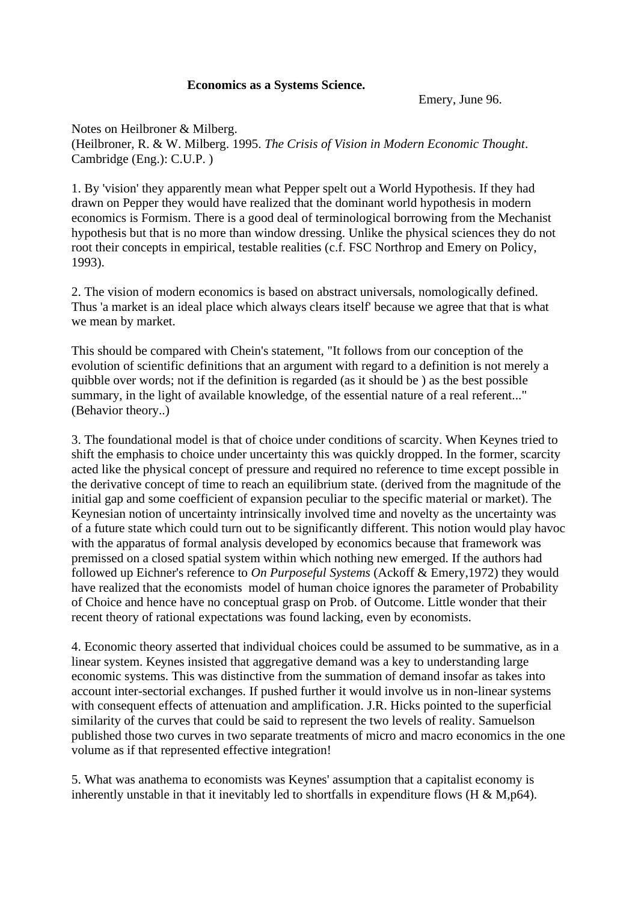## **Economics as a Systems Science.**

Emery, June 96.

Notes on Heilbroner & Milberg. (Heilbroner, R. & W. Milberg. 1995. *The Crisis of Vision in Modern Economic Thought*. Cambridge (Eng.): C.U.P. )

1. By 'vision' they apparently mean what Pepper spelt out a World Hypothesis. If they had drawn on Pepper they would have realized that the dominant world hypothesis in modern economics is Formism. There is a good deal of terminological borrowing from the Mechanist hypothesis but that is no more than window dressing. Unlike the physical sciences they do not root their concepts in empirical, testable realities (c.f. FSC Northrop and Emery on Policy, 1993).

2. The vision of modern economics is based on abstract universals, nomologically defined. Thus 'a market is an ideal place which always clears itself' because we agree that that is what we mean by market.

This should be compared with Chein's statement, "It follows from our conception of the evolution of scientific definitions that an argument with regard to a definition is not merely a quibble over words; not if the definition is regarded (as it should be ) as the best possible summary, in the light of available knowledge, of the essential nature of a real referent..." (Behavior theory..)

3. The foundational model is that of choice under conditions of scarcity. When Keynes tried to shift the emphasis to choice under uncertainty this was quickly dropped. In the former, scarcity acted like the physical concept of pressure and required no reference to time except possible in the derivative concept of time to reach an equilibrium state. (derived from the magnitude of the initial gap and some coefficient of expansion peculiar to the specific material or market). The Keynesian notion of uncertainty intrinsically involved time and novelty as the uncertainty was of a future state which could turn out to be significantly different. This notion would play havoc with the apparatus of formal analysis developed by economics because that framework was premissed on a closed spatial system within which nothing new emerged. If the authors had followed up Eichner's reference to *On Purposeful Systems* (Ackoff & Emery,1972) they would have realized that the economists model of human choice ignores the parameter of Probability of Choice and hence have no conceptual grasp on Prob. of Outcome. Little wonder that their recent theory of rational expectations was found lacking, even by economists.

4. Economic theory asserted that individual choices could be assumed to be summative, as in a linear system. Keynes insisted that aggregative demand was a key to understanding large economic systems. This was distinctive from the summation of demand insofar as takes into account inter-sectorial exchanges. If pushed further it would involve us in non-linear systems with consequent effects of attenuation and amplification. J.R. Hicks pointed to the superficial similarity of the curves that could be said to represent the two levels of reality. Samuelson published those two curves in two separate treatments of micro and macro economics in the one volume as if that represented effective integration!

5. What was anathema to economists was Keynes' assumption that a capitalist economy is inherently unstable in that it inevitably led to shortfalls in expenditure flows ( $H \& M, p64$ ).